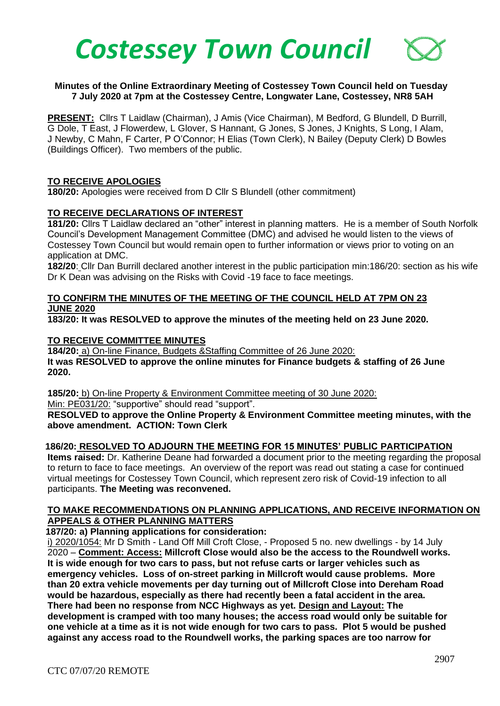

# **Minutes of the Online Extraordinary Meeting of Costessey Town Council held on Tuesday 7 July 2020 at 7pm at the Costessey Centre, Longwater Lane, Costessey, NR8 5AH**

**PRESENT:** Cllrs T Laidlaw (Chairman), J Amis (Vice Chairman), M Bedford, G Blundell, D Burrill, G Dole, T East, J Flowerdew, L Glover, S Hannant, G Jones, S Jones, J Knights, S Long, I Alam, J Newby, C Mahn, F Carter, P O'Connor; H Elias (Town Clerk), N Bailey (Deputy Clerk) D Bowles (Buildings Officer). Two members of the public.

# **TO RECEIVE APOLOGIES**

**180/20:** Apologies were received from D Cllr S Blundell (other commitment)

#### **TO RECEIVE DECLARATIONS OF INTEREST**

**181/20:** Cllrs T Laidlaw declared an "other" interest in planning matters. He is a member of South Norfolk Council's Development Management Committee (DMC) and advised he would listen to the views of Costessey Town Council but would remain open to further information or views prior to voting on an application at DMC.

**182/20**: Cllr Dan Burrill declared another interest in the public participation min:186/20: section as his wife Dr K Dean was advising on the Risks with Covid -19 face to face meetings.

# **TO CONFIRM THE MINUTES OF THE MEETING OF THE COUNCIL HELD AT 7PM ON 23 JUNE 2020**

**183/20: It was RESOLVED to approve the minutes of the meeting held on 23 June 2020.**

#### **TO RECEIVE COMMITTEE MINUTES**

**184/20:** a) On-line Finance, Budgets &Staffing Committee of 26 June 2020: **It was RESOLVED to approve the online minutes for Finance budgets & staffing of 26 June 2020.** 

**185/20:** b) On-line Property & Environment Committee meeting of 30 June 2020:

Min: PE031/20: "supportive" should read "support".

**RESOLVED to approve the Online Property & Environment Committee meeting minutes, with the above amendment. ACTION: Town Clerk**

# **186/20: RESOLVED TO ADJOURN THE MEETING FOR 15 MINUTES' PUBLIC PARTICIPATION**

**Items raised:** Dr. Katherine Deane had forwarded a document prior to the meeting regarding the proposal to return to face to face meetings. An overview of the report was read out stating a case for continued virtual meetings for Costessey Town Council, which represent zero risk of Covid-19 infection to all participants. **The Meeting was reconvened.**

# **TO MAKE RECOMMENDATIONS ON PLANNING APPLICATIONS, AND RECEIVE INFORMATION ON APPEALS & OTHER PLANNING MATTERS**

 **187/20: a) Planning applications for consideration:**

i) 2020/1054: Mr D Smith - Land Off Mill Croft Close, - Proposed 5 no. new dwellings - by 14 July 2020 – **Comment: Access: Millcroft Close would also be the access to the Roundwell works. It is wide enough for two cars to pass, but not refuse carts or larger vehicles such as emergency vehicles. Loss of on-street parking in Millcroft would cause problems. More than 20 extra vehicle movements per day turning out of Millcroft Close into Dereham Road would be hazardous, especially as there had recently been a fatal accident in the area. There had been no response from NCC Highways as yet. Design and Layout: The development is cramped with too many houses; the access road would only be suitable for one vehicle at a time as it is not wide enough for two cars to pass. Plot 5 would be pushed against any access road to the Roundwell works, the parking spaces are too narrow for**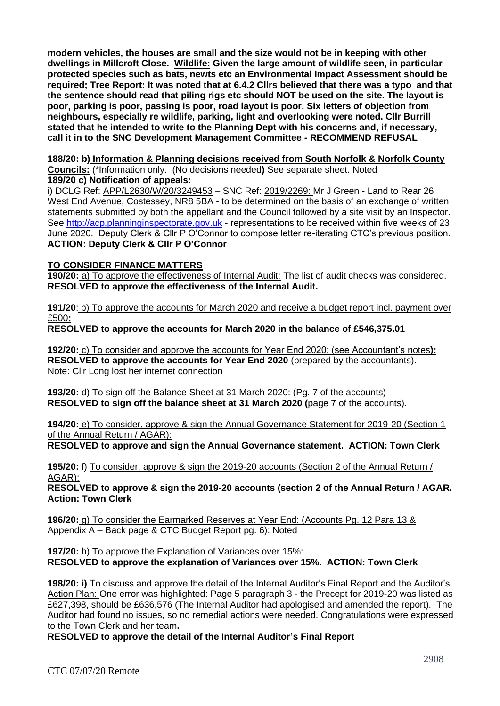**modern vehicles, the houses are small and the size would not be in keeping with other dwellings in Millcroft Close. Wildlife: Given the large amount of wildlife seen, in particular protected species such as bats, newts etc an Environmental Impact Assessment should be required; Tree Report: It was noted that at 6.4.2 Cllrs believed that there was a typo and that the sentence should read that piling rigs etc should NOT be used on the site. The layout is poor, parking is poor, passing is poor, road layout is poor. Six letters of objection from neighbours, especially re wildlife, parking, light and overlooking were noted. Cllr Burrill stated that he intended to write to the Planning Dept with his concerns and, if necessary, call it in to the SNC Development Management Committee - RECOMMEND REFUSAL**

#### **188/20: b) Information & Planning decisions received from South Norfolk & Norfolk County Councils:** (\*Information only. (No decisions needed**)** See separate sheet. Noted **189/20 c) Notification of appeals:**

i) DCLG Ref: APP/L2630/W/20/3249453 – SNC Ref: 2019/2269: Mr J Green - Land to Rear 26 West End Avenue, Costessey, NR8 5BA - to be determined on the basis of an exchange of written statements submitted by both the appellant and the Council followed by a site visit by an Inspector. See [http://acp.planninginspectorate.gov.uk](http://acp.planninginspectorate.gov.uk/) - representations to be received within five weeks of 23 June 2020. Deputy Clerk & Cllr P O'Connor to compose letter re-iterating CTC's previous position. **ACTION: Deputy Clerk & Cllr P O'Connor**

# **TO CONSIDER FINANCE MATTERS**

**190/20:** a) To approve the effectiveness of Internal Audit: The list of audit checks was considered. **RESOLVED to approve the effectiveness of the Internal Audit.** 

**191/20**: b) To approve the accounts for March 2020 and receive a budget report incl. payment over £500**:**

# **RESOLVED to approve the accounts for March 2020 in the balance of £546,375.01**

**192/20:** c) To consider and approve the accounts for Year End 2020: (see Accountant's notes**): RESOLVED to approve the accounts for Year End 2020** (prepared by the accountants). Note: Cllr Long lost her internet connection

**193/20:** d) To sign off the Balance Sheet at 31 March 2020: (Pg. 7 of the accounts) **RESOLVED to sign off the balance sheet at 31 March 2020 (**page 7 of the accounts).

**194/20:** e) To consider, approve & sign the Annual Governance Statement for 2019-20 (Section 1 of the Annual Return / AGAR):

**RESOLVED to approve and sign the Annual Governance statement. ACTION: Town Clerk** 

**195/20:** f) To consider, approve & sign the 2019-20 accounts (Section 2 of the Annual Return / AGAR):

**RESOLVED to approve & sign the 2019-20 accounts (section 2 of the Annual Return / AGAR. Action: Town Clerk**

**196/20:** g) To consider the Earmarked Reserves at Year End: (Accounts Pg. 12 Para 13 & Appendix A – Back page & CTC Budget Report pg. 6): Noted

**197/20:** h) To approve the Explanation of Variances over 15%: **RESOLVED to approve the explanation of Variances over 15%. ACTION: Town Clerk**

**198/20: i)** To discuss and approve the detail of the Internal Auditor's Final Report and the Auditor's Action Plan: One error was highlighted: Page 5 paragraph 3 - the Precept for 2019-20 was listed as £627,398, should be £636,576 (The Internal Auditor had apologised and amended the report). The Auditor had found no issues, so no remedial actions were needed. Congratulations were expressed to the Town Clerk and her team**.** 

**RESOLVED to approve the detail of the Internal Auditor's Final Report**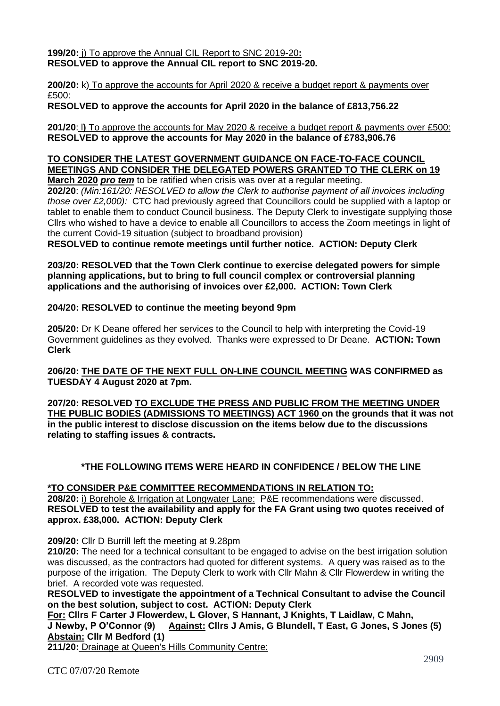**199/20:** j) To approve the Annual CIL Report to SNC 2019-20**: RESOLVED to approve the Annual CIL report to SNC 2019-20.** 

**200/20:** k) To approve the accounts for April 2020 & receive a budget report & payments over £500:

**RESOLVED to approve the accounts for April 2020 in the balance of £813,756.22** 

**201/20**: l**)** To approve the accounts for May 2020 & receive a budget report & payments over £500: **RESOLVED to approve the accounts for May 2020 in the balance of £783,906.76** 

#### **TO CONSIDER THE LATEST GOVERNMENT GUIDANCE ON FACE-TO-FACE COUNCIL MEETINGS AND CONSIDER THE DELEGATED POWERS GRANTED TO THE CLERK on 19 March 2020** *pro tem* to be ratified when crisis was over at a regular meeting.

**202/20**: *(Min:161/20: RESOLVED to allow the Clerk to authorise payment of all invoices including those over £2,000):* CTC had previously agreed that Councillors could be supplied with a laptop or tablet to enable them to conduct Council business. The Deputy Clerk to investigate supplying those Cllrs who wished to have a device to enable all Councillors to access the Zoom meetings in light of the current Covid-19 situation (subject to broadband provision)

**RESOLVED to continue remote meetings until further notice. ACTION: Deputy Clerk** 

**203/20: RESOLVED that the Town Clerk continue to exercise delegated powers for simple planning applications, but to bring to full council complex or controversial planning applications and the authorising of invoices over £2,000. ACTION: Town Clerk**

# **204/20: RESOLVED to continue the meeting beyond 9pm**

**205/20:** Dr K Deane offered her services to the Council to help with interpreting the Covid-19 Government guidelines as they evolved. Thanks were expressed to Dr Deane. **ACTION: Town Clerk**

**206/20: THE DATE OF THE NEXT FULL ON-LINE COUNCIL MEETING WAS CONFIRMED as TUESDAY 4 August 2020 at 7pm.**

**207/20: RESOLVED TO EXCLUDE THE PRESS AND PUBLIC FROM THE MEETING UNDER THE PUBLIC BODIES (ADMISSIONS TO MEETINGS) ACT 1960 on the grounds that it was not in the public interest to disclose discussion on the items below due to the discussions relating to staffing issues & contracts.**

# **\*THE FOLLOWING ITEMS WERE HEARD IN CONFIDENCE / BELOW THE LINE**

# **\*TO CONSIDER P&E COMMITTEE RECOMMENDATIONS IN RELATION TO:**

**208/20:** i) Borehole & Irrigation at Longwater Lane: P&E recommendations were discussed. **RESOLVED to test the availability and apply for the FA Grant using two quotes received of approx. £38,000. ACTION: Deputy Clerk** 

**209/20:** Cllr D Burrill left the meeting at 9.28pm

**210/20:** The need for a technical consultant to be engaged to advise on the best irrigation solution was discussed, as the contractors had quoted for different systems. A query was raised as to the purpose of the irrigation. The Deputy Clerk to work with Cllr Mahn & Cllr Flowerdew in writing the brief. A recorded vote was requested.

**RESOLVED to investigate the appointment of a Technical Consultant to advise the Council on the best solution, subject to cost. ACTION: Deputy Clerk**

**For: Cllrs F Carter J Flowerdew, L Glover, S Hannant, J Knights, T Laidlaw, C Mahn, J Newby, P O'Connor (9) Against: Cllrs J Amis, G Blundell, T East, G Jones, S Jones (5) Abstain: Cllr M Bedford (1)** 

**211/20:** Drainage at Queen's Hills Community Centre: